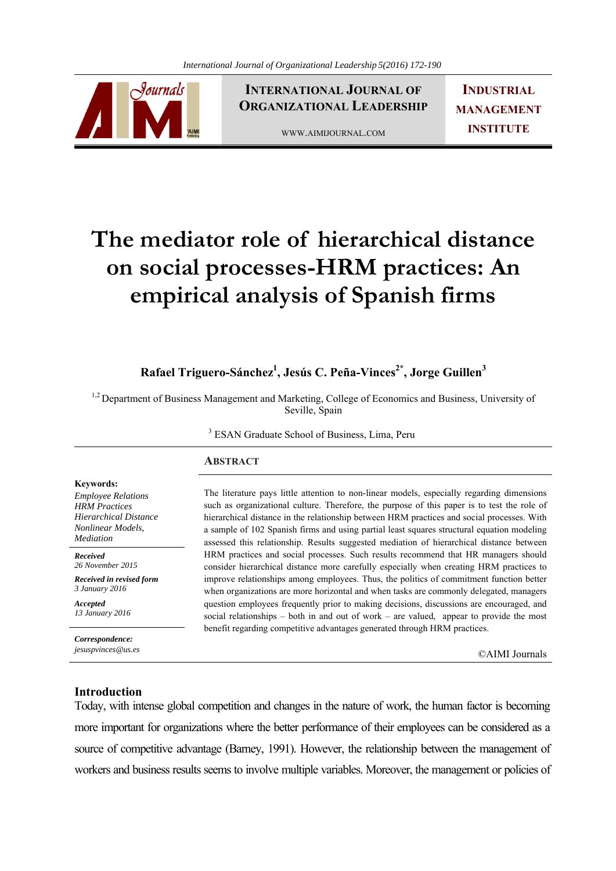

**INTERNATIONAL JOURNAL OF ORGANIZATIONAL LEADERSHIP**

WWW.AIMIJOURNAL.COM

**INDUSTRIAL MANAGEMENT INSTITUTE**

# **The mediator role of hierarchical distance on social processes-HRM practices: An empirical analysis of Spanish firms**

**Rafael Triguero-Sánchez1 , Jesús C. Peña-Vinces2\*, Jorge Guillen3**

<sup>1,2</sup> Department of Business Management and Marketing, College of Economics and Business, University of Seville, Spain

3 ESAN Graduate School of Business, Lima, Peru

# **ABSTRACT**

The literature pays little attention to non-linear models, especially regarding dimensions such as organizational culture. Therefore, the purpose of this paper is to test the role of hierarchical distance in the relationship between HRM practices and social processes. With a sample of 102 Spanish firms and using partial least squares structural equation modeling assessed this relationship. Results suggested mediation of hierarchical distance between HRM practices and social processes. Such results recommend that HR managers should consider hierarchical distance more carefully especially when creating HRM practices to improve relationships among employees. Thus, the politics of commitment function better when organizations are more horizontal and when tasks are commonly delegated, managers question employees frequently prior to making decisions, discussions are encouraged, and social relationships – both in and out of work – are valued, appear to provide the most benefit regarding competitive advantages generated through HRM practices.

*jesuspvinces@us.es* ©AIMI Journals

#### **Keywords:**

*Employee Relations HRM Practices Hierarchical Distance Nonlinear Models, Mediation*

*Received 26 November 2015* 

*Received in revised form 3 January 2016* 

*Accepted 13 January 2016*

*Correspondence:* 

# **Introduction**

Today, with intense global competition and changes in the nature of work, the human factor is becoming more important for organizations where the better performance of their employees can be considered as a source of competitive advantage (Barney, 1991). However, the relationship between the management of workers and business results seems to involve multiple variables. Moreover, the management or policies of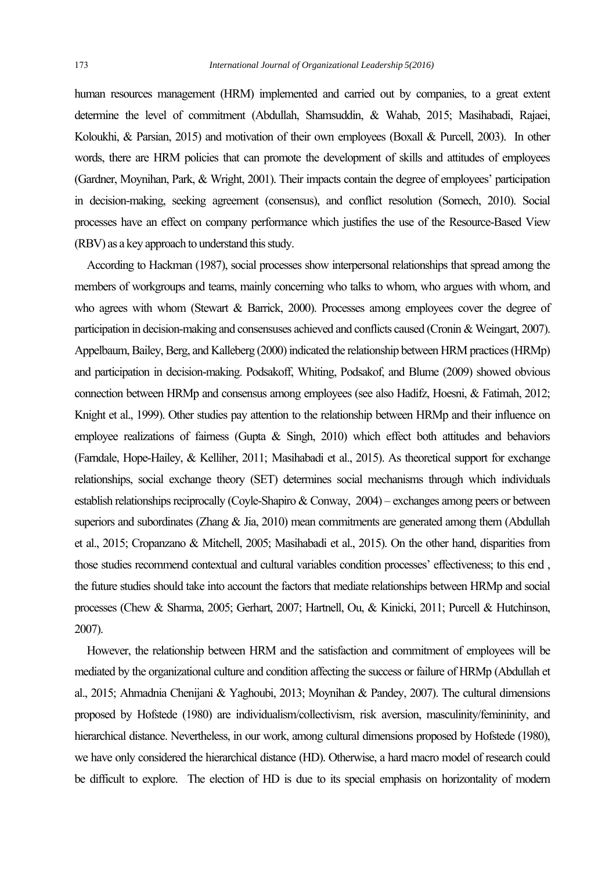human resources management (HRM) implemented and carried out by companies, to a great extent determine the level of commitment (Abdullah, Shamsuddin, & Wahab, 2015; Masihabadi, Rajaei, Koloukhi, & Parsian, 2015) and motivation of their own employees (Boxall & Purcell, 2003). In other words, there are HRM policies that can promote the development of skills and attitudes of employees (Gardner, Moynihan, Park, & Wright, 2001). Their impacts contain the degree of employees' participation in decision-making, seeking agreement (consensus), and conflict resolution (Somech, 2010). Social processes have an effect on company performance which justifies the use of the Resource-Based View (RBV) as a key approach to understand this study.

 According to Hackman (1987), social processes show interpersonal relationships that spread among the members of workgroups and teams, mainly concerning who talks to whom, who argues with whom, and who agrees with whom (Stewart & Barrick, 2000). Processes among employees cover the degree of participation in decision-making and consensuses achieved and conflicts caused (Cronin & Weingart, 2007). Appelbaum, Bailey, Berg, and Kalleberg (2000) indicated the relationship between HRM practices (HRMp) and participation in decision-making. Podsakoff, Whiting, Podsakof, and Blume (2009) showed obvious connection between HRMp and consensus among employees (see also Hadifz, Hoesni, & Fatimah, 2012; Knight et al., 1999). Other studies pay attention to the relationship between HRMp and their influence on employee realizations of fairness (Gupta & Singh, 2010) which effect both attitudes and behaviors (Farndale, Hope-Hailey, & Kelliher, 2011; Masihabadi et al., 2015). As theoretical support for exchange relationships, social exchange theory (SET) determines social mechanisms through which individuals establish relationships reciprocally (Coyle-Shapiro & Conway, 2004) – exchanges among peers or between superiors and subordinates (Zhang & Jia, 2010) mean commitments are generated among them (Abdullah et al., 2015; Cropanzano & Mitchell, 2005; Masihabadi et al., 2015). On the other hand, disparities from those studies recommend contextual and cultural variables condition processes' effectiveness; to this end , the future studies should take into account the factors that mediate relationships between HRMp and social processes (Chew & Sharma, 2005; Gerhart, 2007; Hartnell, Ou, & Kinicki, 2011; Purcell & Hutchinson, 2007).

 However, the relationship between HRM and the satisfaction and commitment of employees will be mediated by the organizational culture and condition affecting the success or failure of HRMp (Abdullah et al., 2015; Ahmadnia Chenijani & Yaghoubi, 2013; Moynihan & Pandey, 2007). The cultural dimensions proposed by Hofstede (1980) are individualism/collectivism, risk aversion, masculinity/femininity, and hierarchical distance. Nevertheless, in our work, among cultural dimensions proposed by Hofstede (1980), we have only considered the hierarchical distance (HD). Otherwise, a hard macro model of research could be difficult to explore. The election of HD is due to its special emphasis on horizontality of modern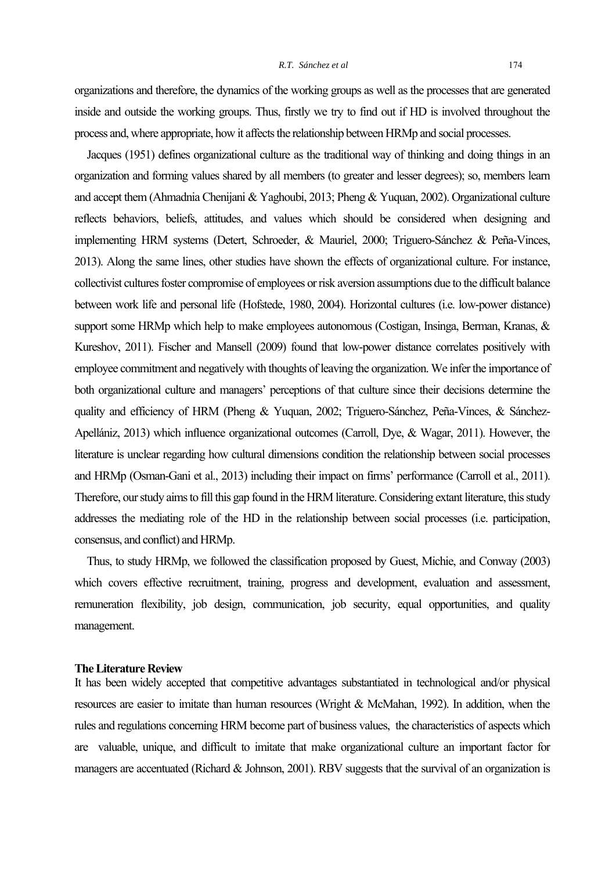organizations and therefore, the dynamics of the working groups as well as the processes that are generated inside and outside the working groups. Thus, firstly we try to find out if HD is involved throughout the process and, where appropriate, how it affects the relationship between HRMp and social processes.

 Jacques (1951) defines organizational culture as the traditional way of thinking and doing things in an organization and forming values shared by all members (to greater and lesser degrees); so, members learn and accept them (Ahmadnia Chenijani & Yaghoubi, 2013; Pheng & Yuquan, 2002). Organizational culture reflects behaviors, beliefs, attitudes, and values which should be considered when designing and implementing HRM systems (Detert, Schroeder, & Mauriel, 2000; Triguero-Sánchez & Peña-Vinces, 2013). Along the same lines, other studies have shown the effects of organizational culture. For instance, collectivist cultures foster compromise of employees or risk aversion assumptions due to the difficult balance between work life and personal life (Hofstede, 1980, 2004). Horizontal cultures (i.e. low-power distance) support some HRMp which help to make employees autonomous (Costigan, Insinga, Berman, Kranas, & Kureshov, 2011). Fischer and Mansell (2009) found that low-power distance correlates positively with employee commitment and negatively with thoughts of leaving the organization. We infer the importance of both organizational culture and managers' perceptions of that culture since their decisions determine the quality and efficiency of HRM (Pheng & Yuquan, 2002; Triguero-Sánchez, Peña-Vinces, & Sánchez-Apellániz, 2013) which influence organizational outcomes (Carroll, Dye, & Wagar, 2011). However, the literature is unclear regarding how cultural dimensions condition the relationship between social processes and HRMp (Osman-Gani et al., 2013) including their impact on firms' performance (Carroll et al., 2011). Therefore, our study aims to fill this gap found in the HRM literature. Considering extant literature, this study addresses the mediating role of the HD in the relationship between social processes (i.e. participation, consensus, and conflict) and HRMp.

 Thus, to study HRMp, we followed the classification proposed by Guest, Michie, and Conway (2003) which covers effective recruitment, training, progress and development, evaluation and assessment, remuneration flexibility, job design, communication, job security, equal opportunities, and quality management.

## **The Literature Review**

It has been widely accepted that competitive advantages substantiated in technological and/or physical resources are easier to imitate than human resources (Wright & McMahan, 1992). In addition, when the rules and regulations concerning HRM become part of business values, the characteristics of aspects which are valuable, unique, and difficult to imitate that make organizational culture an important factor for managers are accentuated (Richard & Johnson, 2001). RBV suggests that the survival of an organization is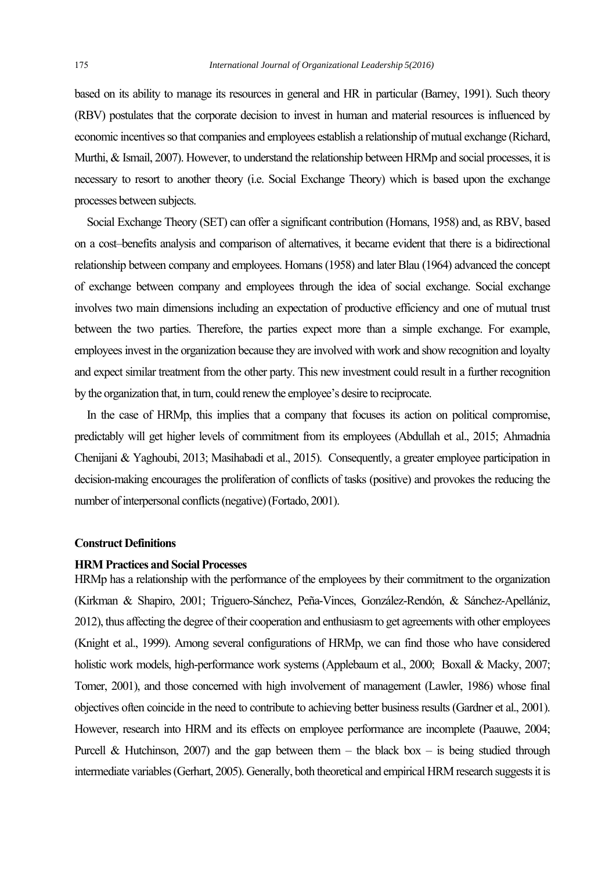based on its ability to manage its resources in general and HR in particular (Barney, 1991). Such theory (RBV) postulates that the corporate decision to invest in human and material resources is influenced by economic incentives so that companies and employees establish a relationship of mutual exchange (Richard, Murthi, & Ismail, 2007). However, to understand the relationship between HRMp and social processes, it is necessary to resort to another theory (i.e. Social Exchange Theory) which is based upon the exchange processes between subjects.

 Social Exchange Theory (SET) can offer a significant contribution (Homans, 1958) and, as RBV, based on a cost–benefits analysis and comparison of alternatives, it became evident that there is a bidirectional relationship between company and employees. Homans (1958) and later Blau (1964) advanced the concept of exchange between company and employees through the idea of social exchange. Social exchange involves two main dimensions including an expectation of productive efficiency and one of mutual trust between the two parties. Therefore, the parties expect more than a simple exchange. For example, employees invest in the organization because they are involved with work and show recognition and loyalty and expect similar treatment from the other party. This new investment could result in a further recognition by the organization that, in turn, could renew the employee's desire to reciprocate.

 In the case of HRMp, this implies that a company that focuses its action on political compromise, predictably will get higher levels of commitment from its employees (Abdullah et al., 2015; Ahmadnia Chenijani & Yaghoubi, 2013; Masihabadi et al., 2015). Consequently, a greater employee participation in decision-making encourages the proliferation of conflicts of tasks (positive) and provokes the reducing the number of interpersonal conflicts (negative) (Fortado, 2001).

## **Construct Definitions**

## **HRM Practices and Social Processes**

HRMp has a relationship with the performance of the employees by their commitment to the organization (Kirkman & Shapiro, 2001; Triguero-Sánchez, Peña-Vinces, González-Rendón, & Sánchez-Apellániz, 2012), thus affecting the degree of their cooperation and enthusiasm to get agreements with other employees (Knight et al., 1999). Among several configurations of HRMp, we can find those who have considered holistic work models, high-performance work systems (Applebaum et al., 2000; Boxall & Macky, 2007; Tomer, 2001), and those concerned with high involvement of management (Lawler, 1986) whose final objectives often coincide in the need to contribute to achieving better business results (Gardner et al., 2001). However, research into HRM and its effects on employee performance are incomplete (Paauwe, 2004; Purcell & Hutchinson, 2007) and the gap between them – the black box – is being studied through intermediate variables (Gerhart, 2005). Generally, both theoretical and empirical HRM research suggests it is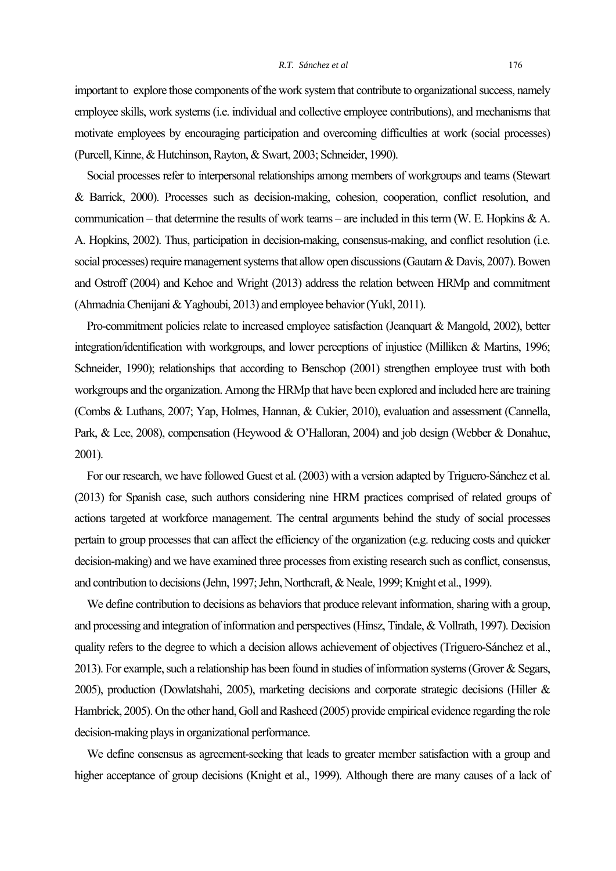important to explore those components of the work system that contribute to organizational success, namely employee skills, work systems (i.e. individual and collective employee contributions), and mechanisms that motivate employees by encouraging participation and overcoming difficulties at work (social processes) (Purcell, Kinne, & Hutchinson, Rayton, & Swart, 2003; Schneider, 1990).

 Social processes refer to interpersonal relationships among members of workgroups and teams (Stewart & Barrick, 2000). Processes such as decision-making, cohesion, cooperation, conflict resolution, and communication – that determine the results of work teams – are included in this term (W. E. Hopkins & A. A. Hopkins, 2002). Thus, participation in decision-making, consensus-making, and conflict resolution (i.e. social processes) require management systems that allow open discussions (Gautam & Davis, 2007). Bowen and Ostroff (2004) and Kehoe and Wright (2013) address the relation between HRMp and commitment (Ahmadnia Chenijani & Yaghoubi, 2013) and employee behavior (Yukl, 2011).

 Pro-commitment policies relate to increased employee satisfaction (Jeanquart & Mangold, 2002), better integration/identification with workgroups, and lower perceptions of injustice (Milliken & Martins, 1996; Schneider, 1990); relationships that according to Benschop (2001) strengthen employee trust with both workgroups and the organization. Among the HRMp that have been explored and included here are training (Combs & Luthans, 2007; Yap, Holmes, Hannan, & Cukier, 2010), evaluation and assessment (Cannella, Park, & Lee, 2008), compensation (Heywood & O'Halloran, 2004) and job design (Webber & Donahue, 2001).

 For our research, we have followed Guest et al. (2003) with a version adapted by Triguero-Sánchez et al. (2013) for Spanish case, such authors considering nine HRM practices comprised of related groups of actions targeted at workforce management. The central arguments behind the study of social processes pertain to group processes that can affect the efficiency of the organization (e.g. reducing costs and quicker decision-making) and we have examined three processes from existing research such as conflict, consensus, and contribution to decisions (Jehn, 1997; Jehn, Northcraft, & Neale, 1999; Knight et al., 1999).

 We define contribution to decisions as behaviors that produce relevant information, sharing with a group, and processing and integration of information and perspectives (Hinsz, Tindale, & Vollrath, 1997). Decision quality refers to the degree to which a decision allows achievement of objectives (Triguero-Sánchez et al., 2013). For example, such a relationship has been found in studies of information systems (Grover & Segars, 2005), production (Dowlatshahi, 2005), marketing decisions and corporate strategic decisions (Hiller & Hambrick, 2005). On the other hand, Goll and Rasheed (2005) provide empirical evidence regarding the role decision-making plays in organizational performance.

 We define consensus as agreement-seeking that leads to greater member satisfaction with a group and higher acceptance of group decisions (Knight et al., 1999). Although there are many causes of a lack of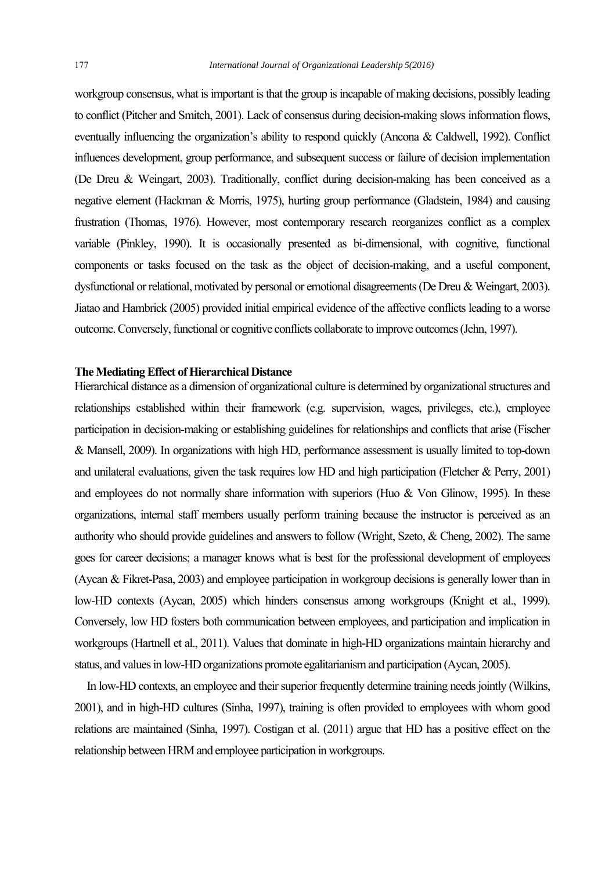workgroup consensus, what is important is that the group is incapable of making decisions, possibly leading to conflict (Pitcher and Smitch, 2001). Lack of consensus during decision-making slows information flows, eventually influencing the organization's ability to respond quickly (Ancona & Caldwell, 1992). Conflict influences development, group performance, and subsequent success or failure of decision implementation (De Dreu & Weingart, 2003). Traditionally, conflict during decision-making has been conceived as a negative element (Hackman & Morris, 1975), hurting group performance (Gladstein, 1984) and causing frustration (Thomas, 1976). However, most contemporary research reorganizes conflict as a complex variable (Pinkley, 1990). It is occasionally presented as bi-dimensional, with cognitive, functional components or tasks focused on the task as the object of decision-making, and a useful component, dysfunctional or relational, motivated by personal or emotional disagreements (De Dreu & Weingart, 2003). Jiatao and Hambrick (2005) provided initial empirical evidence of the affective conflicts leading to a worse outcome. Conversely, functional or cognitive conflicts collaborate to improve outcomes (Jehn, 1997).

# **The Mediating Effect of Hierarchical Distance**

Hierarchical distance as a dimension of organizational culture is determined by organizational structures and relationships established within their framework (e.g. supervision, wages, privileges, etc.), employee participation in decision-making or establishing guidelines for relationships and conflicts that arise (Fischer & Mansell, 2009). In organizations with high HD, performance assessment is usually limited to top-down and unilateral evaluations, given the task requires low HD and high participation (Fletcher & Perry, 2001) and employees do not normally share information with superiors (Huo & Von Glinow, 1995). In these organizations, internal staff members usually perform training because the instructor is perceived as an authority who should provide guidelines and answers to follow (Wright, Szeto, & Cheng, 2002). The same goes for career decisions; a manager knows what is best for the professional development of employees (Aycan & Fikret-Pasa, 2003) and employee participation in workgroup decisions is generally lower than in low-HD contexts (Aycan, 2005) which hinders consensus among workgroups (Knight et al., 1999). Conversely, low HD fosters both communication between employees, and participation and implication in workgroups (Hartnell et al., 2011). Values that dominate in high-HD organizations maintain hierarchy and status, and values in low-HD organizations promote egalitarianism and participation (Aycan, 2005).

 In low-HD contexts, an employee and their superior frequently determine training needs jointly (Wilkins, 2001), and in high-HD cultures (Sinha, 1997), training is often provided to employees with whom good relations are maintained (Sinha, 1997). Costigan et al. (2011) argue that HD has a positive effect on the relationship between HRM and employee participation in workgroups.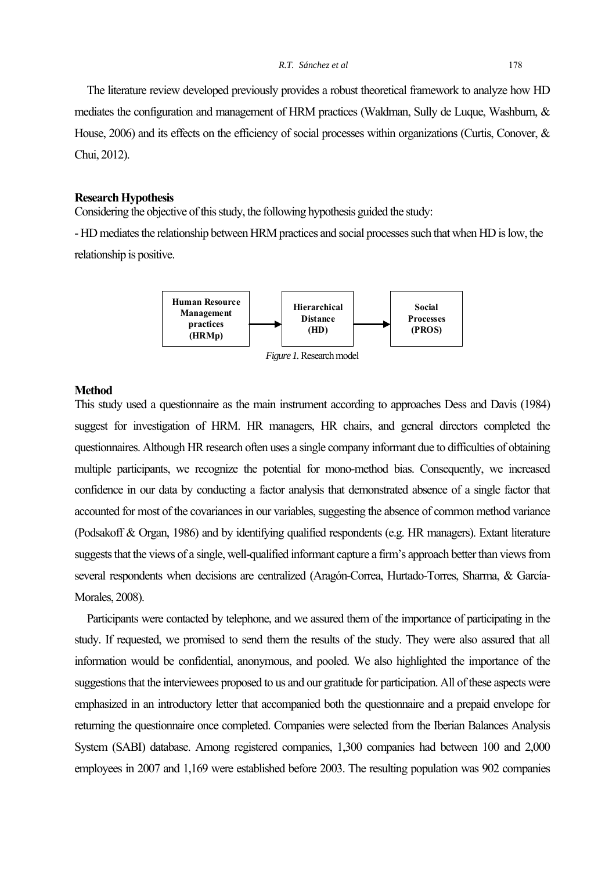The literature review developed previously provides a robust theoretical framework to analyze how HD mediates the configuration and management of HRM practices (Waldman, Sully de Luque, Washburn, & House, 2006) and its effects on the efficiency of social processes within organizations (Curtis, Conover, & Chui, 2012).

# **Research Hypothesis**

Considering the objective of this study, the following hypothesis guided the study:

- HD mediates the relationship between HRM practices and social processes such that when HD is low, the relationship is positive.



#### **Method**

This study used a questionnaire as the main instrument according to approaches Dess and Davis (1984) suggest for investigation of HRM. HR managers, HR chairs, and general directors completed the questionnaires. Although HR research often uses a single company informant due to difficulties of obtaining multiple participants, we recognize the potential for mono-method bias. Consequently, we increased confidence in our data by conducting a factor analysis that demonstrated absence of a single factor that accounted for most of the covariances in our variables, suggesting the absence of common method variance (Podsakoff & Organ, 1986) and by identifying qualified respondents (e.g. HR managers). Extant literature suggests that the views of a single, well-qualified informant capture a firm's approach better than views from several respondents when decisions are centralized (Aragón-Correa, Hurtado-Torres, Sharma, & García-Morales, 2008).

 Participants were contacted by telephone, and we assured them of the importance of participating in the study. If requested, we promised to send them the results of the study. They were also assured that all information would be confidential, anonymous, and pooled. We also highlighted the importance of the suggestions that the interviewees proposed to us and our gratitude for participation. All of these aspects were emphasized in an introductory letter that accompanied both the questionnaire and a prepaid envelope for returning the questionnaire once completed. Companies were selected from the Iberian Balances Analysis System (SABI) database. Among registered companies, 1,300 companies had between 100 and 2,000 employees in 2007 and 1,169 were established before 2003. The resulting population was 902 companies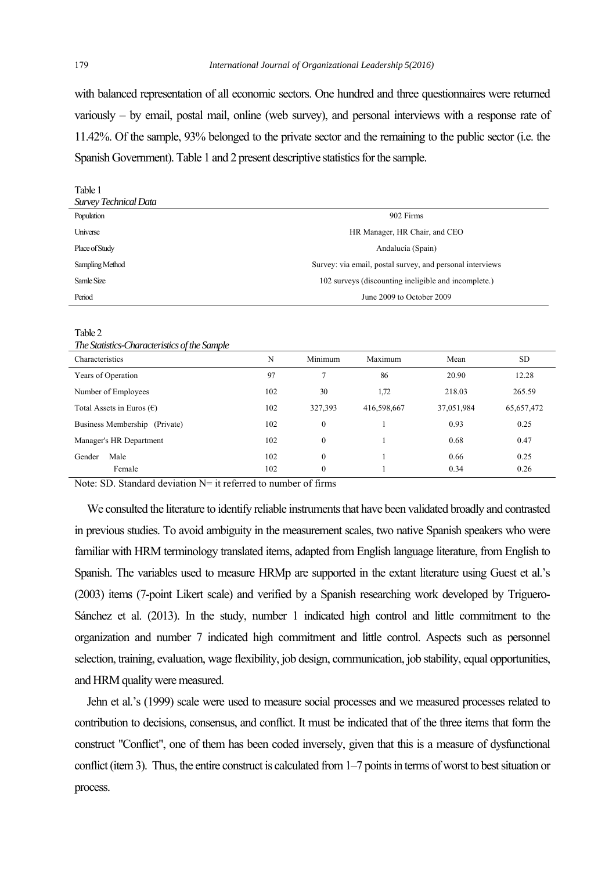with balanced representation of all economic sectors. One hundred and three questionnaires were returned variously – by email, postal mail, online (web survey), and personal interviews with a response rate of 11.42%. Of the sample, 93% belonged to the private sector and the remaining to the public sector (i.e. the Spanish Government). Table 1 and 2 present descriptive statistics for the sample.

| Tubic 1<br>Survey Technical Data |                                                           |
|----------------------------------|-----------------------------------------------------------|
| Population                       | 902 Firms                                                 |
| Universe                         | HR Manager, HR Chair, and CEO                             |
| Place of Study                   | Andalucía (Spain)                                         |
| Sampling Method                  | Survey: via email, postal survey, and personal interviews |
| Samle Size                       | 102 surveys (discounting ineligible and incomplete.)      |
| Period                           | June 2009 to October 2009                                 |

Table 2

Table 1

*The Statistics-Characteristics of the Sample* 

| Characteristics                    | N   | Minimum          | Maximum     | Mean       | <b>SD</b>    |
|------------------------------------|-----|------------------|-------------|------------|--------------|
| Years of Operation                 | 97  |                  | 86          | 20.90      | 12.28        |
| Number of Employees                | 102 | 30               | 1,72        | 218.03     | 265.59       |
| Total Assets in Euros $(\epsilon)$ | 102 | 327,393          | 416,598,667 | 37,051,984 | 65, 657, 472 |
| Business Membership (Private)      | 102 | $\mathbf{0}$     |             | 0.93       | 0.25         |
| Manager's HR Department            | 102 | $\Omega$         |             | 0.68       | 0.47         |
| Male<br>Gender                     | 102 | $\boldsymbol{0}$ |             | 0.66       | 0.25         |
| Female                             | 102 | $\theta$         |             | 0.34       | 0.26         |

Note: SD. Standard deviation  $N=$  it referred to number of firms

 We consulted the literature to identify reliable instruments that have been validated broadly and contrasted in previous studies. To avoid ambiguity in the measurement scales, two native Spanish speakers who were familiar with HRM terminology translated items, adapted from English language literature, from English to Spanish. The variables used to measure HRMp are supported in the extant literature using Guest et al.'s (2003) items (7-point Likert scale) and verified by a Spanish researching work developed by Triguero-Sánchez et al. (2013). In the study, number 1 indicated high control and little commitment to the organization and number 7 indicated high commitment and little control. Aspects such as personnel selection, training, evaluation, wage flexibility, job design, communication, job stability, equal opportunities, and HRM quality were measured.

 Jehn et al.'s (1999) scale were used to measure social processes and we measured processes related to contribution to decisions, consensus, and conflict. It must be indicated that of the three items that form the construct "Conflict", one of them has been coded inversely, given that this is a measure of dysfunctional conflict (item 3). Thus, the entire construct is calculated from 1–7 points in terms of worst to best situation or process.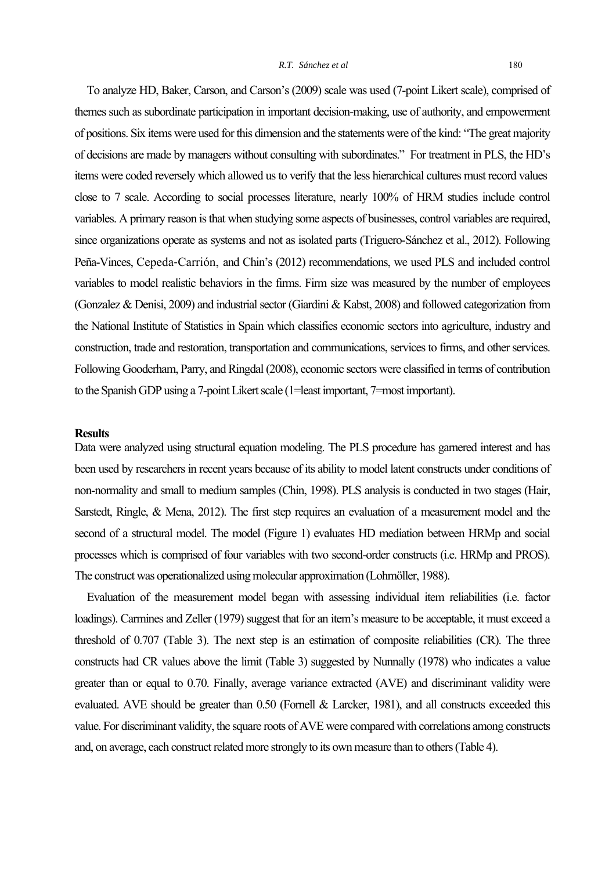To analyze HD, Baker, Carson, and Carson's (2009) scale was used (7-point Likert scale), comprised of themes such as subordinate participation in important decision-making, use of authority, and empowerment of positions. Six items were used for this dimension and the statements were of the kind: "The great majority of decisions are made by managers without consulting with subordinates." For treatment in PLS, the HD's items were coded reversely which allowed us to verify that the less hierarchical cultures must record values close to 7 scale. According to social processes literature, nearly 100% of HRM studies include control variables. A primary reason is that when studying some aspects of businesses, control variables are required, since organizations operate as systems and not as isolated parts (Triguero-Sánchez et al., 2012). Following Peña-Vinces, Cepeda‐Carrión, and Chin's (2012) recommendations, we used PLS and included control variables to model realistic behaviors in the firms. Firm size was measured by the number of employees (Gonzalez & Denisi, 2009) and industrial sector (Giardini & Kabst, 2008) and followed categorization from the National Institute of Statistics in Spain which classifies economic sectors into agriculture, industry and construction, trade and restoration, transportation and communications, services to firms, and other services. Following Gooderham, Parry, and Ringdal (2008), economic sectors were classified in terms of contribution to the Spanish GDP using a 7-point Likert scale (1=least important, 7=most important).

### **Results**

Data were analyzed using structural equation modeling. The PLS procedure has garnered interest and has been used by researchers in recent years because of its ability to model latent constructs under conditions of non-normality and small to medium samples (Chin, 1998). PLS analysis is conducted in two stages (Hair, Sarstedt, Ringle, & Mena, 2012). The first step requires an evaluation of a measurement model and the second of a structural model. The model (Figure 1) evaluates HD mediation between HRMp and social processes which is comprised of four variables with two second-order constructs (i.e. HRMp and PROS). The construct was operationalized using molecular approximation (Lohmöller, 1988).

 Evaluation of the measurement model began with assessing individual item reliabilities (i.e. factor loadings). Carmines and Zeller (1979) suggest that for an item's measure to be acceptable, it must exceed a threshold of 0.707 (Table 3). The next step is an estimation of composite reliabilities (CR). The three constructs had CR values above the limit (Table 3) suggested by Nunnally (1978) who indicates a value greater than or equal to 0.70. Finally, average variance extracted (AVE) and discriminant validity were evaluated. AVE should be greater than 0.50 (Fornell & Larcker, 1981), and all constructs exceeded this value. For discriminant validity, the square roots of AVE were compared with correlations among constructs and, on average, each construct related more strongly to its own measure than to others (Table 4).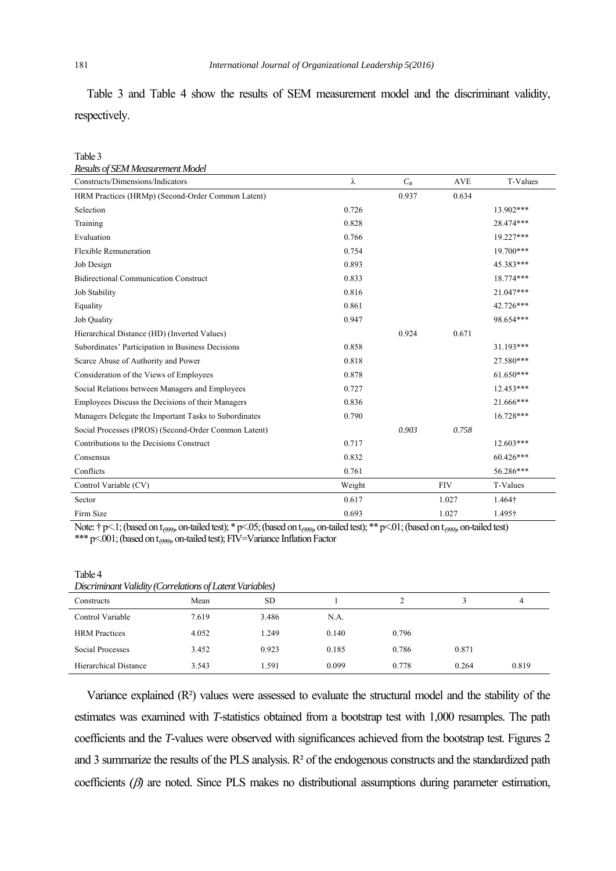Table 3 and Table 4 show the results of SEM measurement model and the discriminant validity, respectively.

| Table 3                                               |        |       |            |                 |
|-------------------------------------------------------|--------|-------|------------|-----------------|
| Results of SEM Measurement Model                      |        |       |            |                 |
| Constructs/Dimensions/Indicators                      | λ      | $C_R$ | <b>AVE</b> | <b>T-Values</b> |
| HRM Practices (HRMp) (Second-Order Common Latent)     |        | 0.937 | 0.634      |                 |
| Selection                                             | 0.726  |       |            | 13.902***       |
| Training                                              | 0.828  |       |            | 28.474***       |
| Evaluation                                            | 0.766  |       |            | 19.227***       |
| <b>Flexible Remuneration</b>                          | 0.754  |       |            | 19.700***       |
| Job Design                                            | 0.893  |       |            | 45.383***       |
| <b>Bidirectional Communication Construct</b>          | 0.833  |       |            | 18.774***       |
| Job Stability                                         | 0.816  |       |            | 21.047***       |
| Equality                                              | 0.861  |       |            | 42.726***       |
| <b>Job Quality</b>                                    | 0.947  |       |            | 98.654***       |
| Hierarchical Distance (HD) (Inverted Values)          |        | 0.924 | 0.671      |                 |
| Subordinates' Participation in Business Decisions     | 0.858  |       |            | 31.193***       |
| Scarce Abuse of Authority and Power                   | 0.818  |       |            | 27.580***       |
| Consideration of the Views of Employees               | 0.878  |       |            | $61.650***$     |
| Social Relations between Managers and Employees       | 0.727  |       |            | 12.453***       |
| Employees Discuss the Decisions of their Managers     | 0.836  |       |            | 21.666***       |
| Managers Delegate the Important Tasks to Subordinates | 0.790  |       |            | 16.728***       |
| Social Processes (PROS) (Second-Order Common Latent)  |        | 0.903 | 0.758      |                 |
| Contributions to the Decisions Construct              | 0.717  |       |            | $12.603***$     |
| Consensus                                             | 0.832  |       |            | 60.426***       |
| Conflicts                                             | 0.761  |       |            | 56.286***       |
| Control Variable (CV)                                 | Weight |       | <b>FIV</b> | T-Values        |
| Sector                                                | 0.617  |       | 1.027      | 1.464†          |
| Firm Size                                             | 0.693  |       | 1.027      | 1.495†          |

Note:  $\uparrow$  p<.1; (based on t<sub>099)</sub>, on-tailed test); \* p<.05; (based on t<sub>099)</sub>, on-tailed test); \*\* p<.01; (based on t<sub>099)</sub>, on-tailed test) \*\*\* p<.001; (based on t<sub>(999)</sub>, on-tailed test); FIV=Variance Inflation Factor

| Discriminant Validity (Correlations of Latent Variables) |       |       |       |       |       |       |  |
|----------------------------------------------------------|-------|-------|-------|-------|-------|-------|--|
| Constructs                                               | Mean  | SD.   |       |       |       | 4     |  |
| Control Variable                                         | 7.619 | 3.486 | N.A.  |       |       |       |  |
| <b>HRM</b> Practices                                     | 4.052 | 1.249 | 0.140 | 0.796 |       |       |  |
| Social Processes                                         | 3.452 | 0.923 | 0.185 | 0.786 | 0.871 |       |  |
| Hierarchical Distance                                    | 3.543 | 1.591 | 0.099 | 0.778 | 0.264 | 0.819 |  |

 Variance explained (R²) values were assessed to evaluate the structural model and the stability of the estimates was examined with *T*-statistics obtained from a bootstrap test with 1,000 resamples. The path coefficients and the *T*-values were observed with significances achieved from the bootstrap test. Figures 2 and 3 summarize the results of the PLS analysis. R² of the endogenous constructs and the standardized path coefficients  $(\beta)$  are noted. Since PLS makes no distributional assumptions during parameter estimation,

Table 4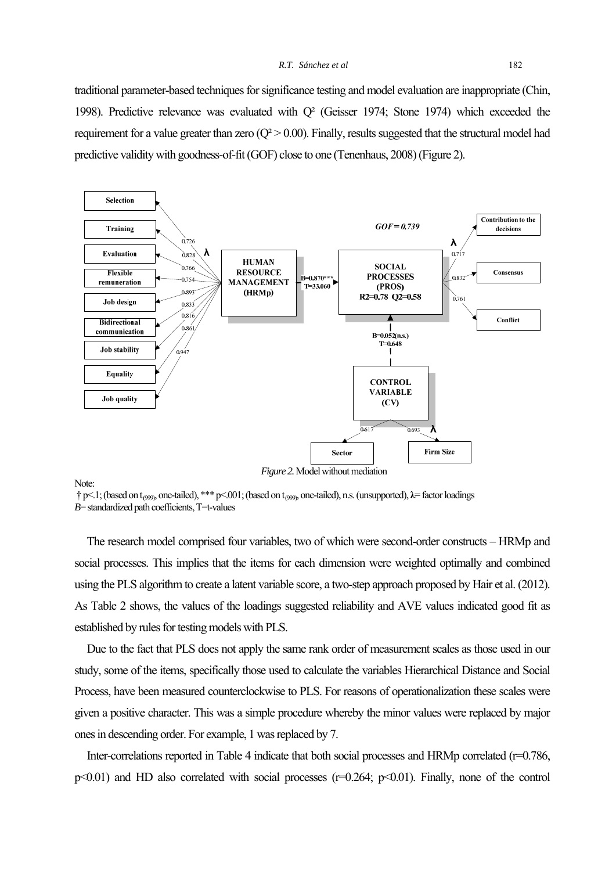traditional parameter-based techniques for significance testing and model evaluation are inappropriate (Chin, 1998). Predictive relevance was evaluated with Q² (Geisser 1974; Stone 1974) which exceeded the requirement for a value greater than zero  $(Q^2 > 0.00)$ . Finally, results suggested that the structural model had predictive validity with goodness-of-fit (GOF) close to one (Tenenhaus, 2008) (Figure 2).



*Figure 2.* Model without mediation

Note:

 † p<.1; (based on t (999), one-tailed), \*\*\* p<.001; (based on t (999), one-tailed), n.s. (unsupported), **λ**= factor loadings  $B$ = standardized path coefficients,  $T=$ -values

 The research model comprised four variables, two of which were second-order constructs – HRMp and social processes. This implies that the items for each dimension were weighted optimally and combined using the PLS algorithm to create a latent variable score, a two-step approach proposed by Hair et al. (2012). As Table 2 shows, the values of the loadings suggested reliability and AVE values indicated good fit as established by rules for testing models with PLS.

 Due to the fact that PLS does not apply the same rank order of measurement scales as those used in our study, some of the items, specifically those used to calculate the variables Hierarchical Distance and Social Process, have been measured counterclockwise to PLS. For reasons of operationalization these scales were given a positive character. This was a simple procedure whereby the minor values were replaced by major ones in descending order. For example, 1 was replaced by 7.

Inter-correlations reported in Table 4 indicate that both social processes and HRMp correlated (r=0.786,  $p\leq 0.01$ ) and HD also correlated with social processes ( $r=0.264$ ;  $p\leq 0.01$ ). Finally, none of the control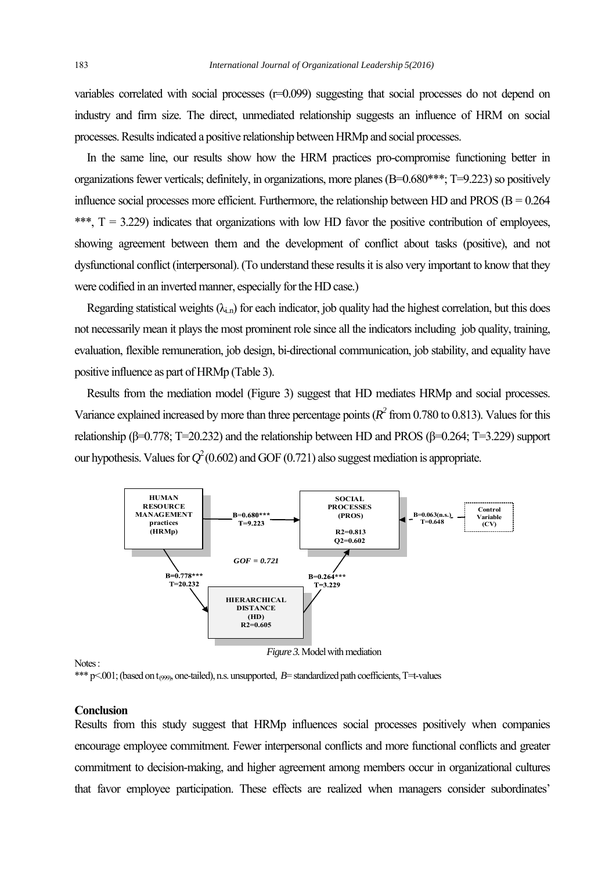variables correlated with social processes (r=0.099) suggesting that social processes do not depend on industry and firm size. The direct, unmediated relationship suggests an influence of HRM on social processes. Results indicated a positive relationship between HRMp and social processes.

 In the same line, our results show how the HRM practices pro-compromise functioning better in organizations fewer verticals; definitely, in organizations, more planes (B=0.680\*\*\*; T=9.223) so positively influence social processes more efficient. Furthermore, the relationship between HD and PROS ( $B = 0.264$ ) \*\*\*,  $T = 3.229$ ) indicates that organizations with low HD favor the positive contribution of employees, showing agreement between them and the development of conflict about tasks (positive), and not dysfunctional conflict (interpersonal). (To understand these results it is also very important to know that they were codified in an inverted manner, especially for the HD case.)

Regarding statistical weights  $(\lambda_{i,n})$  for each indicator, job quality had the highest correlation, but this does not necessarily mean it plays the most prominent role since all the indicators including job quality, training, evaluation, flexible remuneration, job design, bi-directional communication, job stability, and equality have positive influence as part of HRMp (Table 3).

 Results from the mediation model (Figure 3) suggest that HD mediates HRMp and social processes. Variance explained increased by more than three percentage points  $(R^2 \text{ from } 0.780 \text{ to } 0.813)$ . Values for this relationship (β=0.778; T=20.232) and the relationship between HD and PROS (β=0.264; T=3.229) support our hypothesis. Values for  $Q^2(0.602)$  and GOF (0.721) also suggest mediation is appropriate.



Notes :

\*\*\* p<.001; (based on t<sub>099</sub>, one-tailed), n.s. unsupported, *B*= standardized path coefficients, T=t-values

## **Conclusion**

Results from this study suggest that HRMp influences social processes positively when companies encourage employee commitment. Fewer interpersonal conflicts and more functional conflicts and greater commitment to decision-making, and higher agreement among members occur in organizational cultures that favor employee participation. These effects are realized when managers consider subordinates'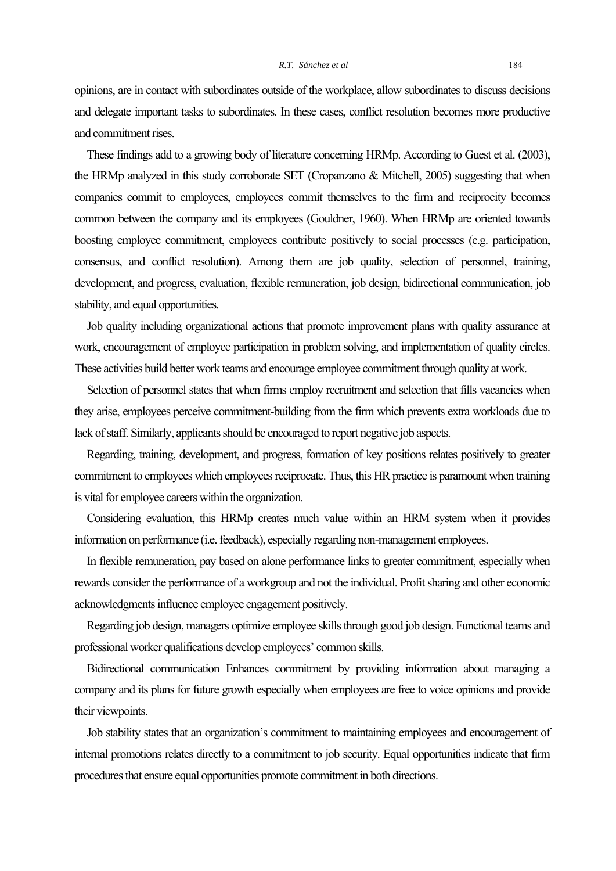opinions, are in contact with subordinates outside of the workplace, allow subordinates to discuss decisions and delegate important tasks to subordinates. In these cases, conflict resolution becomes more productive and commitment rises.

 These findings add to a growing body of literature concerning HRMp. According to Guest et al. (2003), the HRMp analyzed in this study corroborate SET (Cropanzano & Mitchell, 2005) suggesting that when companies commit to employees, employees commit themselves to the firm and reciprocity becomes common between the company and its employees (Gouldner, 1960). When HRMp are oriented towards boosting employee commitment, employees contribute positively to social processes (e.g. participation, consensus, and conflict resolution). Among them are job quality, selection of personnel, training, development, and progress, evaluation, flexible remuneration, job design, bidirectional communication, job stability, and equal opportunities*.*

Job quality including organizational actions that promote improvement plans with quality assurance at work, encouragement of employee participation in problem solving, and implementation of quality circles. These activities build better work teams and encourage employee commitment through quality at work.

Selection of personnel states that when firms employ recruitment and selection that fills vacancies when they arise, employees perceive commitment-building from the firm which prevents extra workloads due to lack of staff. Similarly, applicants should be encouraged to report negative job aspects.

 Regarding, training, development, and progress, formation of key positions relates positively to greater commitment to employees which employees reciprocate. Thus, this HR practice is paramount when training is vital for employee careers within the organization.

 Considering evaluation, this HRMp creates much value within an HRM system when it provides information on performance (i.e. feedback), especially regarding non-management employees.

In flexible remuneration, pay based on alone performance links to greater commitment, especially when rewards consider the performance of a workgroup and not the individual. Profit sharing and other economic acknowledgments influence employee engagement positively.

Regarding job design, managers optimize employee skills through good job design. Functional teams and professional worker qualifications develop employees' common skills.

Bidirectional communication Enhances commitment by providing information about managing a company and its plans for future growth especially when employees are free to voice opinions and provide their viewpoints.

 Job stability states that an organization's commitment to maintaining employees and encouragement of internal promotions relates directly to a commitment to job security. Equal opportunities indicate that firm procedures that ensure equal opportunities promote commitment in both directions.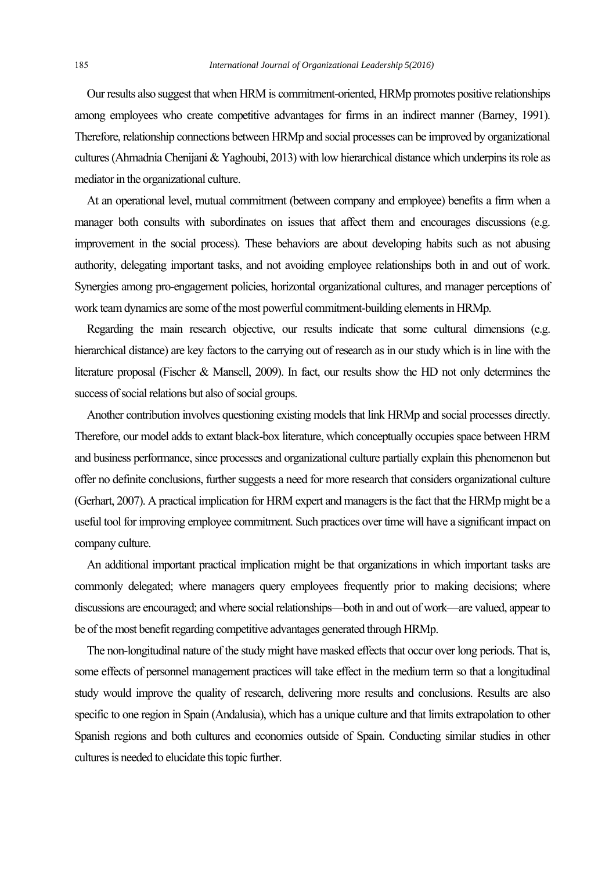Our results also suggest that when HRM is commitment-oriented, HRMp promotes positive relationships among employees who create competitive advantages for firms in an indirect manner (Barney, 1991). Therefore, relationship connections between HRMp and social processes can be improved by organizational cultures (Ahmadnia Chenijani & Yaghoubi, 2013) with low hierarchical distance which underpins its role as mediator in the organizational culture.

 At an operational level, mutual commitment (between company and employee) benefits a firm when a manager both consults with subordinates on issues that affect them and encourages discussions (e.g. improvement in the social process). These behaviors are about developing habits such as not abusing authority, delegating important tasks, and not avoiding employee relationships both in and out of work. Synergies among pro-engagement policies, horizontal organizational cultures, and manager perceptions of work team dynamics are some of the most powerful commitment-building elements in HRMp.

 Regarding the main research objective, our results indicate that some cultural dimensions (e.g. hierarchical distance) are key factors to the carrying out of research as in our study which is in line with the literature proposal (Fischer & Mansell, 2009). In fact, our results show the HD not only determines the success of social relations but also of social groups.

 Another contribution involves questioning existing models that link HRMp and social processes directly. Therefore, our model adds to extant black-box literature, which conceptually occupies space between HRM and business performance, since processes and organizational culture partially explain this phenomenon but offer no definite conclusions, further suggests a need for more research that considers organizational culture (Gerhart, 2007). A practical implication for HRM expert and managers is the fact that the HRMp might be a useful tool for improving employee commitment. Such practices over time will have a significant impact on company culture.

 An additional important practical implication might be that organizations in which important tasks are commonly delegated; where managers query employees frequently prior to making decisions; where discussions are encouraged; and where social relationships—both in and out of work—are valued, appear to be of the most benefit regarding competitive advantages generated through HRMp.

 The non-longitudinal nature of the study might have masked effects that occur over long periods. That is, some effects of personnel management practices will take effect in the medium term so that a longitudinal study would improve the quality of research, delivering more results and conclusions. Results are also specific to one region in Spain (Andalusia), which has a unique culture and that limits extrapolation to other Spanish regions and both cultures and economies outside of Spain. Conducting similar studies in other cultures is needed to elucidate this topic further.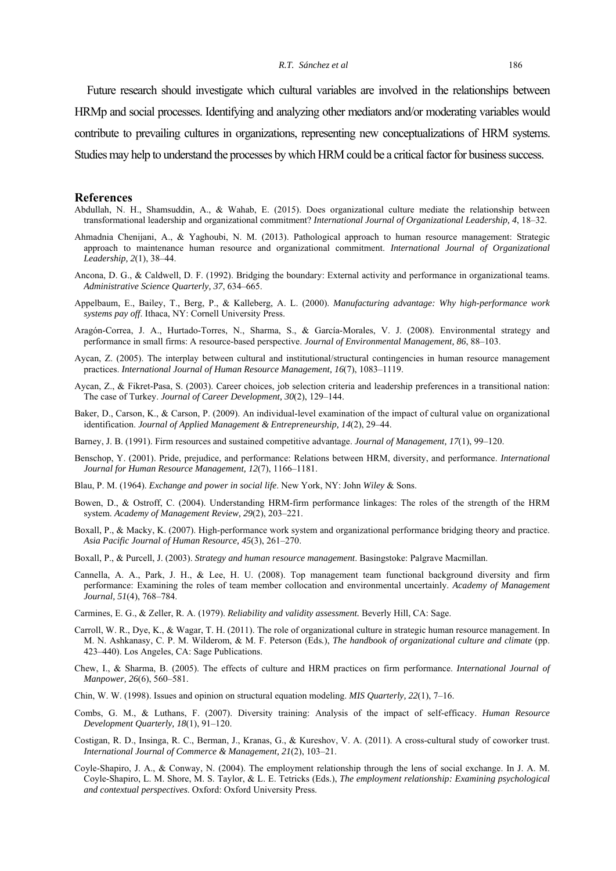Future research should investigate which cultural variables are involved in the relationships between HRMp and social processes. Identifying and analyzing other mediators and/or moderating variables would contribute to prevailing cultures in organizations, representing new conceptualizations of HRM systems. Studies may help to understand the processes by which HRM could be a critical factor for business success.

#### **References**

- Abdullah, N. H., Shamsuddin, A., & Wahab, E. (2015). Does organizational culture mediate the relationship between transformational leadership and organizational commitment? *International Journal of Organizational Leadership, 4*, 18–32.
- Ahmadnia Chenijani, A., & Yaghoubi, N. M. (2013). Pathological approach to human resource management: Strategic approach to maintenance human resource and organizational commitment. *International Journal of Organizational Leadership, 2*(1), 38–44.
- Ancona, D. G., & Caldwell, D. F. (1992). Bridging the boundary: External activity and performance in organizational teams. *Administrative Science Quarterly, 37*, 634–665.
- Appelbaum, E., Bailey, T., Berg, P., & Kalleberg, A. L. (2000). *Manufacturing advantage: Why high-performance work systems pay off*. Ithaca, NY: Cornell University Press.
- Aragón-Correa, J. A., Hurtado-Torres, N., Sharma, S., & García-Morales, V. J. (2008). Environmental strategy and performance in small firms: A resource-based perspective. *Journal of Environmental Management, 86*, 88–103.
- Aycan, Z. (2005). The interplay between cultural and institutional/structural contingencies in human resource management practices. *International Journal of Human Resource Management, 16*(7), 1083–1119.
- Aycan, Z., & Fikret-Pasa, S. (2003). Career choices, job selection criteria and leadership preferences in a transitional nation: The case of Turkey. *Journal of Career Development, 30*(2), 129–144.
- Baker, D., Carson, K., & Carson, P. (2009). An individual-level examination of the impact of cultural value on organizational identification. *Journal of Applied Management & Entrepreneurship, 14*(2), 29–44.
- Barney, J. B. (1991). Firm resources and sustained competitive advantage. *Journal of Management, 17*(1), 99–120.
- Benschop, Y. (2001). Pride, prejudice, and performance: Relations between HRM, diversity, and performance. *International Journal for Human Resource Management, 12*(7), 1166–1181.
- Blau, P. M. (1964). *Exchange and power in social life*. New York, NY: John *Wiley* & Sons.
- Bowen, D., & Ostroff, C. (2004). Understanding HRM-firm performance linkages: The roles of the strength of the HRM system. *Academy of Management Review, 29*(2), 203–221.
- Boxall, P., & Macky, K. (2007). High-performance work system and organizational performance bridging theory and practice. *Asia Pacific Journal of Human Resource, 45*(3), 261–270.
- Boxall, P., & Purcell, J. (2003). *Strategy and human resource management*. Basingstoke: Palgrave Macmillan.
- Cannella, A. A., Park, J. H., & Lee, H. U. (2008). Top management team functional background diversity and firm performance: Examining the roles of team member collocation and environmental uncertainly. *Academy of Management Journal, 51*(4), 768–784.

Carmines, E. G., & Zeller, R. A. (1979). *Reliability and validity assessment.* Beverly Hill, CA: Sage.

- Carroll, W. R., Dye, K., & Wagar, T. H. (2011). The role of organizational culture in strategic human resource management. In M. N. Ashkanasy, C. P. M. Wilderom, & M. F. Peterson (Eds*.*), *The handbook of organizational culture and climate* (pp. 423–440). Los Angeles, CA: Sage Publications.
- Chew, I., & Sharma, B. (2005). The effects of culture and HRM practices on firm performance. *International Journal of Manpower, 26*(6), 560–581.
- Chin, W. W. (1998). Issues and opinion on structural equation modeling. *MIS Quarterly, 22*(1), 7–16.
- Combs, G. M., & Luthans, F. (2007). Diversity training: Analysis of the impact of self-efficacy. *Human Resource Development Quarterly, 18*(1), 91–120.
- Costigan, R. D., Insinga, R. C., Berman, J., Kranas, G., & Kureshov, V. A. (2011). A cross-cultural study of coworker trust. *International Journal of Commerce & Management, 21*(2), 103–21.
- Coyle-Shapiro, J. A., & Conway, N. (2004). The employment relationship through the lens of social exchange. In J. A. M. Coyle-Shapiro, L. M. Shore, M. S. Taylor, & L. E. Tetricks (Eds.), *The employment relationship: Examining psychological and contextual perspectives*. Oxford: Oxford University Press.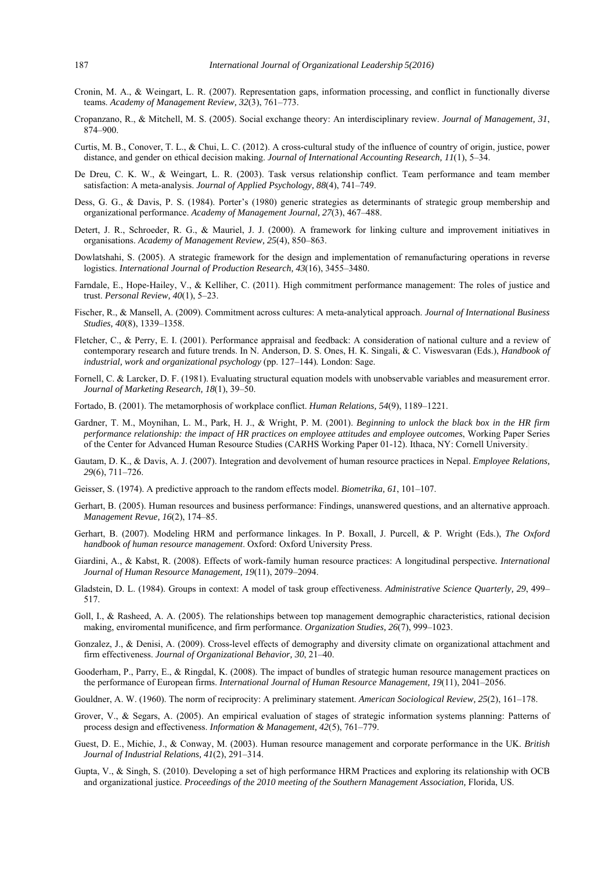- Cronin, M. A., & Weingart, L. R. (2007). Representation gaps, information processing, and conflict in functionally diverse teams. *Academy of Management Review, 32*(3), 761–773.
- Cropanzano, R., & Mitchell, M. S. (2005). Social exchange theory: An interdisciplinary review. *Journal of Management, 31*, 874–900.
- Curtis, M. B., Conover, T. L., & Chui, L. C. (2012). A cross-cultural study of the influence of country of origin, justice, power distance, and gender on ethical decision making. *Journal of International Accounting Research, 11*(1), 5–34.
- De Dreu, C. K. W., & Weingart, L. R. (2003). Task versus relationship conflict. Team performance and team member satisfaction: A meta-analysis. *Journal of Applied Psychology, 88*(4), 741–749.
- Dess, G. G., & Davis, P. S. (1984). Porter's (1980) generic strategies as determinants of strategic group membership and organizational performance. *Academy of Management Journal, 27*(3), 467–488.
- Detert, J. R., Schroeder, R. G., & Mauriel, J. J. (2000). A framework for linking culture and improvement initiatives in organisations. *Academy of Management Review, 25*(4), 850–863.
- Dowlatshahi, S. (2005). A strategic framework for the design and implementation of remanufacturing operations in reverse logistics. *International Journal of Production Research, 43*(16), 3455–3480.
- Farndale, E., Hope-Hailey, V., & Kelliher, C. (2011). High commitment performance management: The roles of justice and trust. *Personal Review, 40*(1), 5–23.
- Fischer, R., & Mansell, A. (2009). Commitment across cultures: A meta-analytical approach. *Journal of International Business Studies, 40*(8), 1339–1358.
- Fletcher, C., & Perry, E. I. (2001). Performance appraisal and feedback: A consideration of national culture and a review of contemporary research and future trends. In N. Anderson, D. S. Ones, H. K. Singali, & C. Viswesvaran (Eds.), *Handbook of industrial, work and organizational psychology* (pp. 127–144)*.* London: Sage.
- Fornell, C. & Larcker, D. F. (1981). Evaluating structural equation models with unobservable variables and measurement error. *Journal of Marketing Research, 18*(1), 39–50.
- Fortado, B. (2001). The metamorphosis of workplace conflict. *Human Relations, 54*(9), 1189–1221.
- Gardner, T. M., Moynihan, L. M., Park, H. J., & Wright, P. M. (2001). *Beginning to unlock the black box in the HR firm performance relationship: the impact of HR practices on employee attitudes and employee outcomes*, Working Paper Series of the Center for Advanced Human Resource Studies (CARHS Working Paper 01-12). Ithaca, NY: Cornell University.
- Gautam, D. K., & Davis, A. J. (2007). Integration and devolvement of human resource practices in Nepal. *Employee Relations, 29*(6), 711–726.
- Geisser, S. (1974). A predictive approach to the random effects model. *Biometrika, 61*, 101–107.
- Gerhart, B. (2005). Human resources and business performance: Findings, unanswered questions, and an alternative approach. *Management Revue, 16*(2), 174–85.
- Gerhart, B. (2007). Modeling HRM and performance linkages. In P. Boxall, J. Purcell, & P. Wright (Eds.), *The Oxford handbook of human resource management*. Oxford: Oxford University Press.
- Giardini, A., & Kabst, R. (2008). Effects of work-family human resource practices: A longitudinal perspective*. International Journal of Human Resource Management, 19*(11), 2079–2094.
- Gladstein, D. L. (1984). Groups in context: A model of task group effectiveness. *Administrative Science Quarterly, 29*, 499– 517.
- Goll, I., & Rasheed, A. A. (2005). The relationships between top management demographic characteristics, rational decision making, enviromental munificence, and firm performance. *Organization Studies, 26*(7), 999–1023.
- Gonzalez, J., & Denisi, A. (2009). Cross-level effects of demography and diversity climate on organizational attachment and firm effectiveness. *Journal of Organizational Behavior, 30*, 21–40.
- Gooderham, P., Parry, E., & Ringdal, K. (2008). The impact of bundles of strategic human resource management practices on the performance of European firms. *International Journal of Human Resource Management, 19*(11), 2041–2056.
- Gouldner, A. W. (1960). The norm of reciprocity: A preliminary statement. *American Sociological Review, 25*(2), 161–178.
- Grover, V., & Segars, A. (2005). An empirical evaluation of stages of strategic information systems planning: Patterns of process design and effectiveness. *Information & Management, 42*(5), 761–779.
- Guest, D. E., Michie, J., & Conway, M. (2003). Human resource management and corporate performance in the UK. *British Journal of Industrial Relations, 41*(2), 291–314.
- Gupta, V., & Singh, S. (2010). Developing a set of high performance HRM Practices and exploring its relationship with OCB and organizational justice. *Proceedings of the 2010 meeting of the Southern Management Association,* Florida, US.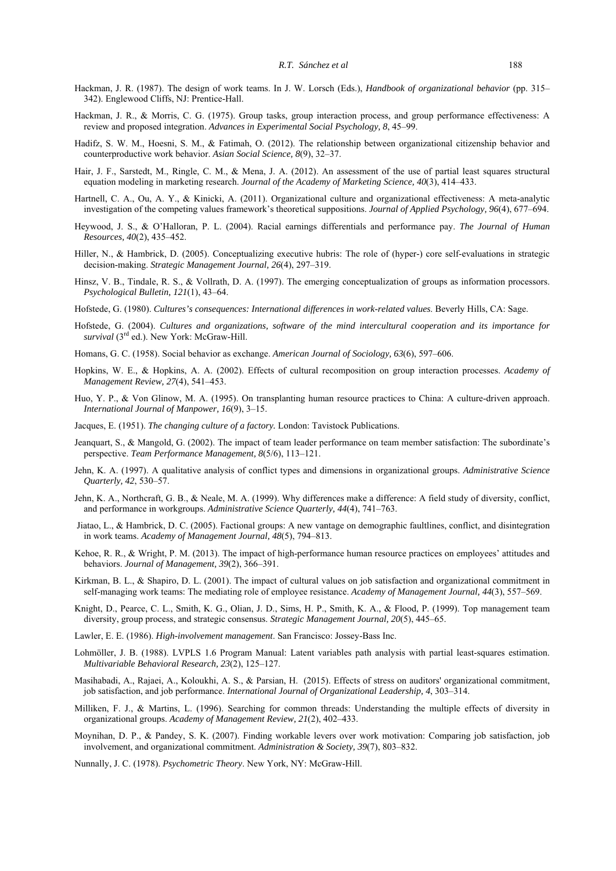- Hackman, J. R. (1987). The design of work teams. In J. W. Lorsch (Eds.), *Handbook of organizational behavior* (pp. 315– 342). Englewood Cliffs, NJ: Prentice-Hall.
- Hackman, J. R., & Morris, C. G. (1975). Group tasks, group interaction process, and group performance effectiveness: A review and proposed integration. *Advances in Experimental Social Psychology, 8*, 45–99.
- Hadifz, S. W. M., Hoesni, S. M., & Fatimah, O. (2012). The relationship between organizational citizenship behavior and counterproductive work behavior. *Asian Social Science, 8*(9), 32–37.
- Hair, J. F., Sarstedt, M., Ringle, C. M., & Mena, J. A. (2012). An assessment of the use of partial least squares structural equation modeling in marketing research. *Journal of the Academy of Marketing Science, 40*(3), 414–433.
- Hartnell, C. A., Ou, A. Y., & Kinicki, A. (2011). Organizational culture and organizational effectiveness: A meta-analytic investigation of the competing values framework's theoretical suppositions. *Journal of Applied Psychology, 96*(4), 677–694.
- Heywood, J. S., & O'Halloran, P. L. (2004). Racial earnings differentials and performance pay. *The Journal of Human Resources, 40*(2), 435–452.
- Hiller, N., & Hambrick, D. (2005). Conceptualizing executive hubris: The role of (hyper-) core self-evaluations in strategic decision-making. *Strategic Management Journal, 26*(4), 297–319.
- Hinsz, V. B., Tindale, R. S., & Vollrath, D. A. (1997). The emerging conceptualization of groups as information processors. *Psychological Bulletin, 121*(1), 43–64.
- Hofstede, G. (1980). *Cultures's consequences: International differences in work-related values*. Beverly Hills, CA: Sage.
- Hofstede, G. (2004). *Cultures and organizations, software of the mind intercultural cooperation and its importance for survival* (3rd ed.). New York: McGraw-Hill.
- Homans, G. C. (1958). Social behavior as exchange. *American Journal of Sociology, 63*(6), 597–606.
- Hopkins, W. E., & Hopkins, A. A. (2002). Effects of cultural recomposition on group interaction processes. *Academy of Management Review, 27*(4), 541–453.
- Huo, Y. P., & Von Glinow, M. A. (1995). On transplanting human resource practices to China: A culture-driven approach. *International Journal of Manpower, 16*(9), 3–15.
- Jacques, E. (1951). *The changing culture of a factory.* London: Tavistock Publications.
- Jeanquart, S., & Mangold, G. (2002). The impact of team leader performance on team member satisfaction: The subordinate's perspective. *Team Performance Management, 8*(5/6), 113–121.
- Jehn, K. A. (1997). A qualitative analysis of conflict types and dimensions in organizational groups. *Administrative Science Quarterly, 42*, 530–57.
- Jehn, K. A., Northcraft, G. B., & Neale, M. A. (1999). Why differences make a difference: A field study of diversity, conflict, and performance in workgroups. *Administrative Science Quarterly, 44*(4), 741–763.
- Jiatao, L., & Hambrick, D. C. (2005). Factional groups: A new vantage on demographic faultlines, conflict, and disintegration in work teams. *Academy of Management Journal, 48*(5), 794–813.
- Kehoe, R. R., & Wright, P. M. (2013). The impact of high-performance human resource practices on employees' attitudes and behaviors. *Journal of Management, 39*(2), 366–391.
- Kirkman, B. L., & Shapiro, D. L. (2001). The impact of cultural values on job satisfaction and organizational commitment in self-managing work teams: The mediating role of employee resistance. *Academy of Management Journal, 44*(3), 557–569.
- Knight, D., Pearce, C. L., Smith, K. G., Olian, J. D., Sims, H. P., Smith, K. A., & Flood, P. (1999). Top management team diversity, group process, and strategic consensus. *Strategic Management Journal, 20*(5), 445–65.
- Lawler, E. E. (1986). *High-involvement management*. San Francisco: Jossey-Bass Inc.
- Lohmöller, J. B. (1988). LVPLS 1.6 Program Manual: Latent variables path analysis with partial least-squares estimation. *Multivariable Behavioral Research, 23*(2), 125–127.
- Masihabadi, A., Rajaei, A., Koloukhi, A. S., & Parsian, H. (2015). Effects of stress on auditors' organizational commitment, job satisfaction, and job performance. *International Journal of Organizational Leadership, 4*, 303–314.
- Milliken, F. J., & Martins, L. (1996). Searching for common threads: Understanding the multiple effects of diversity in organizational groups. *Academy of Management Review, 21*(2), 402–433.
- Moynihan, D. P., & Pandey, S. K. (2007). Finding workable levers over work motivation: Comparing job satisfaction, job involvement, and organizational commitment. *Administration & Society, 39*(7), 803–832.
- Nunnally, J. C. (1978). *Psychometric Theory*. New York, NY: McGraw-Hill.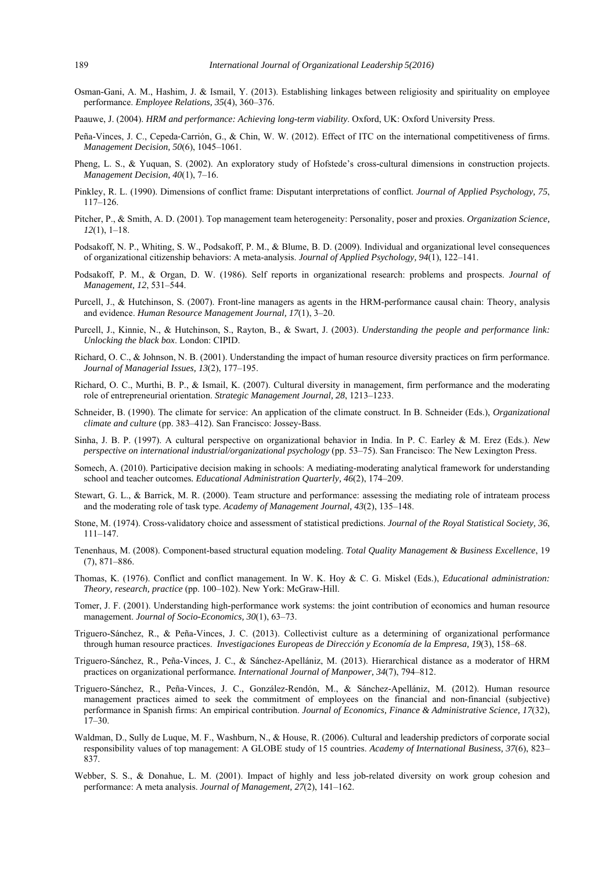- Osman-Gani, A. M., Hashim, J. & Ismail, Y. (2013). Establishing linkages between religiosity and spirituality on employee performance. *Employee Relations, 35*(4), 360–376.
- Paauwe, J. (2004). *HRM and performance: Achieving long-term viability*. Oxford, UK: Oxford University Press.
- Peña-Vinces, J. C., Cepeda‐Carrión, G., & Chin, W. W. (2012). Effect of ITC on the international competitiveness of firms. *Management Decision, 50*(6), 1045–1061.
- Pheng, L. S., & Yuquan, S. (2002). An exploratory study of Hofstede's cross-cultural dimensions in construction projects. *Management Decision, 40*(1), 7–16.
- Pinkley, R. L. (1990). Dimensions of conflict frame: Disputant interpretations of conflict. *Journal of Applied Psychology, 75*, 117–126.
- Pitcher, P., & Smith, A. D. (2001). Top management team heterogeneity: Personality, poser and proxies. *Organization Science, 12*(1), 1–18.
- Podsakoff, N. P., Whiting, S. W., Podsakoff, P. M., & Blume, B. D. (2009). Individual and organizational level consequences of organizational citizenship behaviors: A meta-analysis. *Journal of Applied Psychology, 94*(1), 122–141.
- Podsakoff, P. M., & Organ, D. W. (1986). Self reports in organizational research: problems and prospects. *Journal of Management, 12*, 531–544.
- Purcell, J., & Hutchinson, S. (2007). Front-line managers as agents in the HRM-performance causal chain: Theory, analysis and evidence. *Human Resource Management Journal, 17*(1), 3–20.
- Purcell, J., Kinnie, N., & Hutchinson, S., Rayton, B., & Swart, J. (2003). *Understanding the people and performance link: Unlocking the black box*. London: CIPID.
- Richard, O. C., & Johnson, N. B. (2001). Understanding the impact of human resource diversity practices on firm performance. *Journal of Managerial Issues, 13*(2), 177–195.
- Richard, O. C., Murthi, B. P., & Ismail, K. (2007). Cultural diversity in management, firm performance and the moderating role of entrepreneurial orientation. *Strategic Management Journal, 28*, 1213–1233.
- Schneider, B. (1990). The climate for service: An application of the climate construct. In B. Schneider (Eds.), *Organizational climate and culture* (pp. 383–412). San Francisco: Jossey-Bass.
- Sinha, J. B. P. (1997). A cultural perspective on organizational behavior in India. In P. C. Earley & M. Erez (Eds.). *New perspective on international industrial/organizational psychology* (pp. 53–75). San Francisco: The New Lexington Press.
- Somech, A. (2010). Participative decision making in schools: A mediating-moderating analytical framework for understanding school and teacher outcomes*. Educational Administration Quarterly, 46*(2), 174–209.
- Stewart, G. L., & Barrick, M. R. (2000). Team structure and performance: assessing the mediating role of intrateam process and the moderating role of task type. *Academy of Management Journal, 43*(2), 135–148.
- Stone, M. (1974). Cross-validatory choice and assessment of statistical predictions. *Journal of the Royal Statistical Society, 36*, 111–147.
- Tenenhaus, M. (2008). Component-based structural equation modeling. *Total Quality Management & Business Excellence*, 19 (7), 871–886.
- Thomas, K. (1976). Conflict and conflict management. In W. K. Hoy & C. G. Miskel (Eds.), *Educational administration: Theory, research, practice* (pp. 100–102). New York: McGraw-Hill.
- Tomer, J. F. (2001). Understanding high-performance work systems: the joint contribution of economics and human resource management. *Journal of Socio-Economics, 30*(1), 63–73.
- Triguero-Sánchez, R., & Peña-Vinces, J. C. (2013). Collectivist culture as a determining of organizational performance through human resource practices. *Investigaciones Europeas de Dirección y Economía de la Empresa, 19*(3), 158–68.
- Triguero-Sánchez, R., Peña-Vinces, J. C., & Sánchez-Apellániz, M. (2013). Hierarchical distance as a moderator of HRM practices on organizational performance*. International Journal of Manpower, 34*(7), 794–812.
- Triguero-Sánchez, R., Peña-Vinces, J. C., González-Rendón, M., & Sánchez-Apellániz, M. (2012). Human resource management practices aimed to seek the commitment of employees on the financial and non-financial (subjective) performance in Spanish firms: An empirical contribution. *Journal of Economics, Finance & Administrative Science, 17*(32), 17–30.
- Waldman, D., Sully de Luque, M. F., Washburn, N., & House, R. (2006). Cultural and leadership predictors of corporate social responsibility values of top management: A GLOBE study of 15 countries. *Academy of International Business, 37*(6), 823– 837.
- Webber, S. S., & Donahue, L. M. (2001). Impact of highly and less job-related diversity on work group cohesion and performance: A meta analysis. *Journal of Management, 27*(2), 141–162.